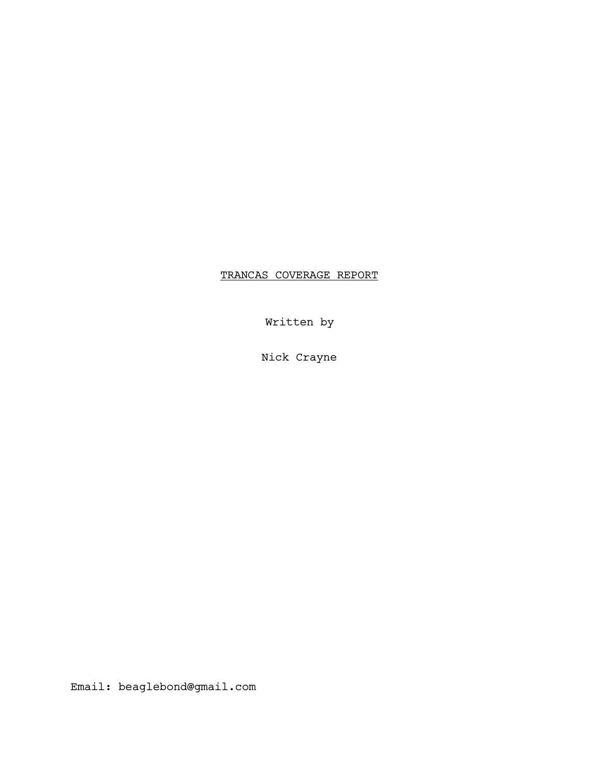# TRANCAS COVERAGE REPORT

Written by

Nick Crayne

Email: beaglebond@gmail.com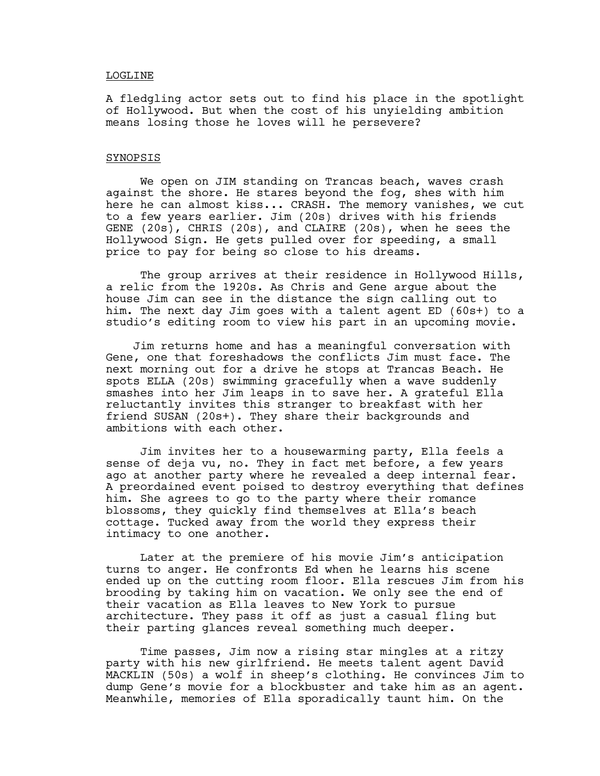### LOGLINE

A fledgling actor sets out to find his place in the spotlight of Hollywood. But when the cost of his unyielding ambition means losing those he loves will he persevere?

### SYNOPSIS

 We open on JIM standing on Trancas beach, waves crash against the shore. He stares beyond the fog, shes with him here he can almost kiss... CRASH. The memory vanishes, we cut to a few years earlier. Jim (20s) drives with his friends GENE (20s), CHRIS (20s), and CLAIRE (20s), when he sees the Hollywood Sign. He gets pulled over for speeding, a small price to pay for being so close to his dreams.

The group arrives at their residence in Hollywood Hills, a relic from the 1920s. As Chris and Gene argue about the house Jim can see in the distance the sign calling out to him. The next day Jim goes with a talent agent ED (60s+) to a studio's editing room to view his part in an upcoming movie.

 Jim returns home and has a meaningful conversation with Gene, one that foreshadows the conflicts Jim must face. The next morning out for a drive he stops at Trancas Beach. He spots ELLA (20s) swimming gracefully when a wave suddenly smashes into her Jim leaps in to save her. A grateful Ella reluctantly invites this stranger to breakfast with her friend SUSAN (20s+). They share their backgrounds and ambitions with each other.

 Jim invites her to a housewarming party, Ella feels a sense of deja vu, no. They in fact met before, a few years ago at another party where he revealed a deep internal fear. A preordained event poised to destroy everything that defines him. She agrees to go to the party where their romance blossoms, they quickly find themselves at Ella's beach cottage. Tucked away from the world they express their intimacy to one another.

 Later at the premiere of his movie Jim's anticipation turns to anger. He confronts Ed when he learns his scene ended up on the cutting room floor. Ella rescues Jim from his brooding by taking him on vacation. We only see the end of their vacation as Ella leaves to New York to pursue architecture. They pass it off as just a casual fling but their parting glances reveal something much deeper.

 Time passes, Jim now a rising star mingles at a ritzy party with his new girlfriend. He meets talent agent David MACKLIN (50s) a wolf in sheep's clothing. He convinces Jim to dump Gene's movie for a blockbuster and take him as an agent. Meanwhile, memories of Ella sporadically taunt him. On the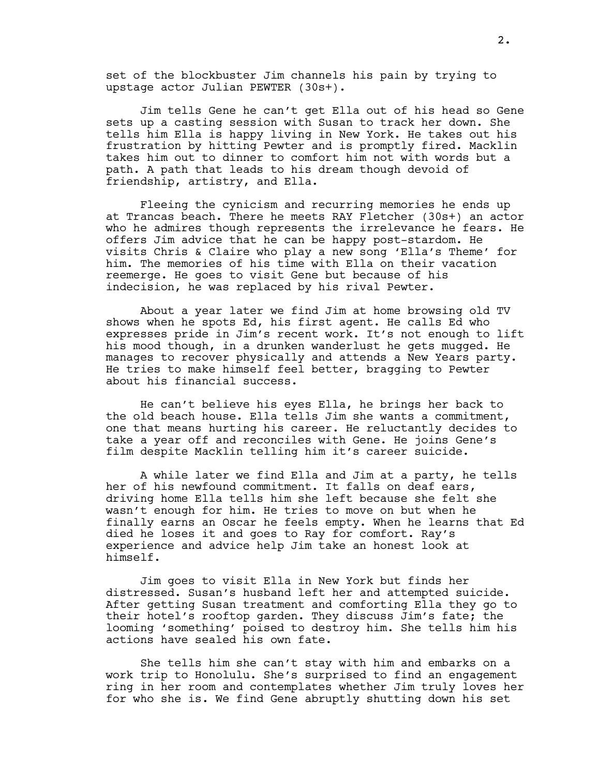set of the blockbuster Jim channels his pain by trying to upstage actor Julian PEWTER (30s+).

 Jim tells Gene he can't get Ella out of his head so Gene sets up a casting session with Susan to track her down. She tells him Ella is happy living in New York. He takes out his frustration by hitting Pewter and is promptly fired. Macklin takes him out to dinner to comfort him not with words but a path. A path that leads to his dream though devoid of friendship, artistry, and Ella.

 Fleeing the cynicism and recurring memories he ends up at Trancas beach. There he meets RAY Fletcher (30s+) an actor who he admires though represents the irrelevance he fears. He offers Jim advice that he can be happy post-stardom. He visits Chris & Claire who play a new song 'Ella's Theme' for him. The memories of his time with Ella on their vacation reemerge. He goes to visit Gene but because of his indecision, he was replaced by his rival Pewter.

 About a year later we find Jim at home browsing old TV shows when he spots Ed, his first agent. He calls Ed who expresses pride in Jim's recent work. It's not enough to lift his mood though, in a drunken wanderlust he gets mugged. He manages to recover physically and attends a New Years party. He tries to make himself feel better, bragging to Pewter about his financial success.

 He can't believe his eyes Ella, he brings her back to the old beach house. Ella tells Jim she wants a commitment, one that means hurting his career. He reluctantly decides to take a year off and reconciles with Gene. He joins Gene's film despite Macklin telling him it's career suicide.

 A while later we find Ella and Jim at a party, he tells her of his newfound commitment. It falls on deaf ears, driving home Ella tells him she left because she felt she wasn't enough for him. He tries to move on but when he finally earns an Oscar he feels empty. When he learns that Ed died he loses it and goes to Ray for comfort. Ray's experience and advice help Jim take an honest look at himself.

 Jim goes to visit Ella in New York but finds her distressed. Susan's husband left her and attempted suicide. After getting Susan treatment and comforting Ella they go to their hotel's rooftop garden. They discuss Jim's fate; the looming 'something' poised to destroy him. She tells him his actions have sealed his own fate.

 She tells him she can't stay with him and embarks on a work trip to Honolulu. She's surprised to find an engagement ring in her room and contemplates whether Jim truly loves her for who she is. We find Gene abruptly shutting down his set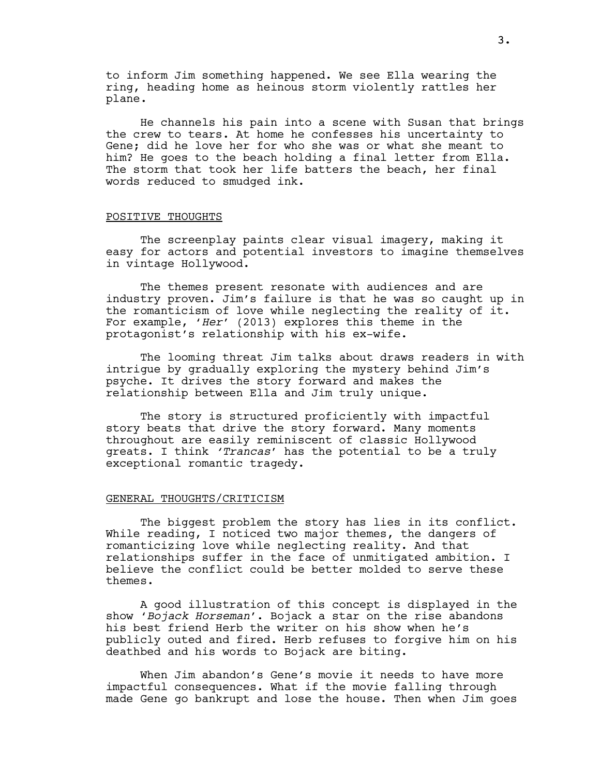to inform Jim something happened. We see Ella wearing the ring, heading home as heinous storm violently rattles her plane.

 He channels his pain into a scene with Susan that brings the crew to tears. At home he confesses his uncertainty to Gene; did he love her for who she was or what she meant to him? He goes to the beach holding a final letter from Ella. The storm that took her life batters the beach, her final words reduced to smudged ink.

## POSITIVE THOUGHTS

 The screenplay paints clear visual imagery, making it easy for actors and potential investors to imagine themselves in vintage Hollywood.

 The themes present resonate with audiences and are industry proven. Jim's failure is that he was so caught up in the romanticism of love while neglecting the reality of it. For example, 'Her' (2013) explores this theme in the protagonist's relationship with his ex-wife.

 The looming threat Jim talks about draws readers in with intrigue by gradually exploring the mystery behind Jim's psyche. It drives the story forward and makes the relationship between Ella and Jim truly unique.

 The story is structured proficiently with impactful story beats that drive the story forward. Many moments throughout are easily reminiscent of classic Hollywood greats. I think 'Trancas' has the potential to be a truly exceptional romantic tragedy.

### GENERAL THOUGHTS/CRITICISM

The biggest problem the story has lies in its conflict. While reading, I noticed two major themes, the dangers of romanticizing love while neglecting reality. And that relationships suffer in the face of unmitigated ambition. I believe the conflict could be better molded to serve these themes.

 A good illustration of this concept is displayed in the show 'Bojack Horseman'. Bojack a star on the rise abandons his best friend Herb the writer on his show when he's publicly outed and fired. Herb refuses to forgive him on his deathbed and his words to Bojack are biting.

 When Jim abandon's Gene's movie it needs to have more impactful consequences. What if the movie falling through made Gene go bankrupt and lose the house. Then when Jim goes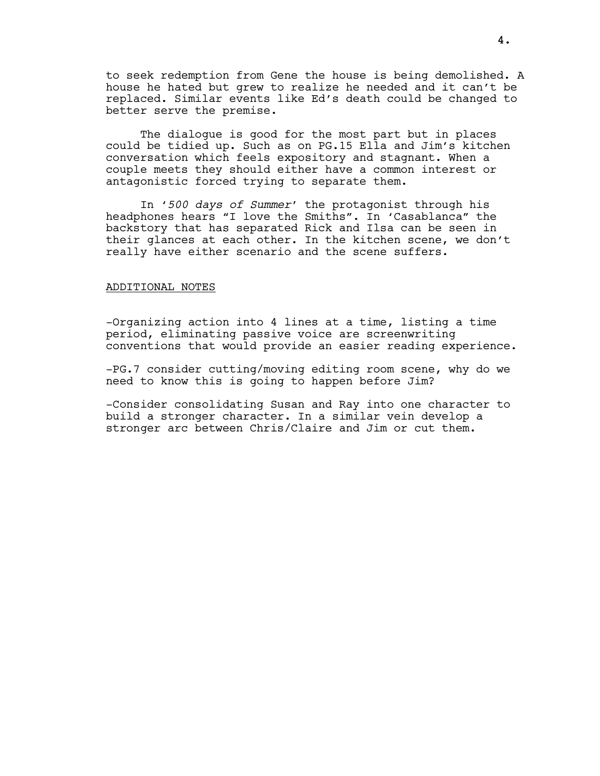to seek redemption from Gene the house is being demolished. A house he hated but grew to realize he needed and it can't be replaced. Similar events like Ed's death could be changed to better serve the premise.

 The dialogue is good for the most part but in places could be tidied up. Such as on PG.15 Ella and Jim's kitchen conversation which feels expository and stagnant. When a couple meets they should either have a common interest or antagonistic forced trying to separate them.

In '500 days of Summer' the protagonist through his headphones hears "I love the Smiths". In 'Casablanca" the backstory that has separated Rick and Ilsa can be seen in their glances at each other. In the kitchen scene, we don't really have either scenario and the scene suffers.

### ADDITIONAL NOTES

-Organizing action into 4 lines at a time, listing a time period, eliminating passive voice are screenwriting conventions that would provide an easier reading experience.

-PG.7 consider cutting/moving editing room scene, why do we need to know this is going to happen before Jim?

-Consider consolidating Susan and Ray into one character to build a stronger character. In a similar vein develop a stronger arc between Chris/Claire and Jim or cut them.